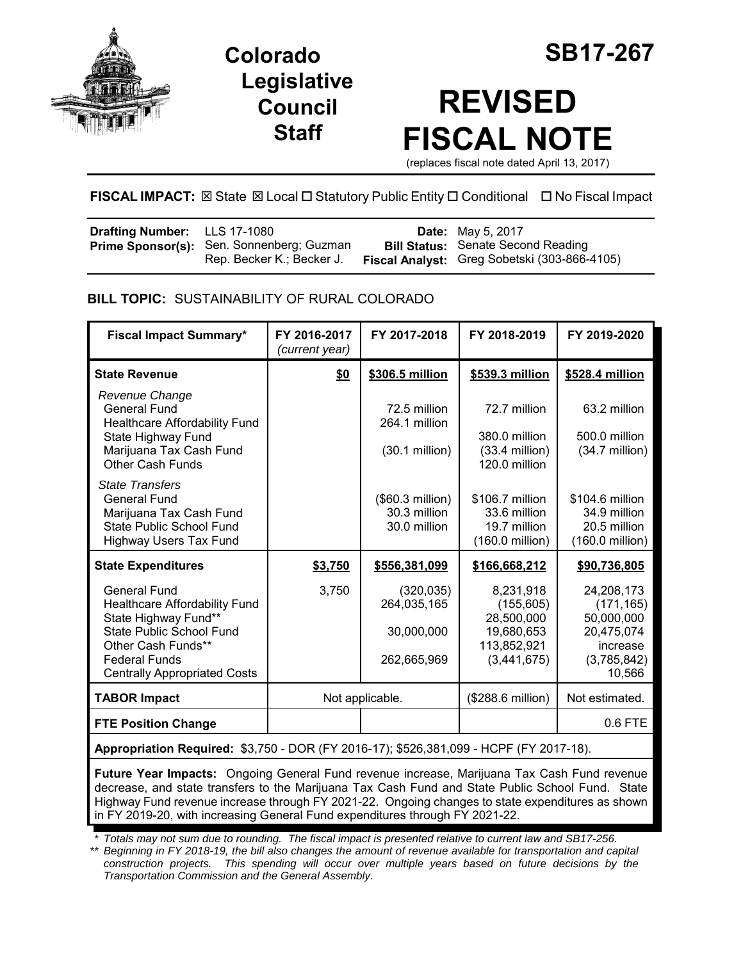

**Legislative Council Staff**



# **REVISED FISCAL NOTE**

(replaces fiscal note dated April 13, 2017)

# **FISCAL IMPACT:** ⊠ State ⊠ Local □ Statutory Public Entity □ Conditional □ No Fiscal Impact

| <b>Drafting Number:</b> LLS 17-1080 |                                                                               | <b>Date:</b> May 5, 2017                                                                  |
|-------------------------------------|-------------------------------------------------------------------------------|-------------------------------------------------------------------------------------------|
|                                     | <b>Prime Sponsor(s):</b> Sen. Sonnenberg; Guzman<br>Rep. Becker K.; Becker J. | <b>Bill Status:</b> Senate Second Reading<br>Fiscal Analyst: Greg Sobetski (303-866-4105) |

## **BILL TOPIC:** SUSTAINABILITY OF RURAL COLORADO

| <b>Fiscal Impact Summary*</b>                                                                                                                                                                 | FY 2016-2017<br>(current year) | FY 2017-2018                                              | FY 2018-2019                                                                      | FY 2019-2020                                                                              |
|-----------------------------------------------------------------------------------------------------------------------------------------------------------------------------------------------|--------------------------------|-----------------------------------------------------------|-----------------------------------------------------------------------------------|-------------------------------------------------------------------------------------------|
| <b>State Revenue</b>                                                                                                                                                                          | \$0                            | \$306.5 million                                           | \$539.3 million                                                                   | \$528.4 million                                                                           |
| Revenue Change<br><b>General Fund</b><br><b>Healthcare Affordability Fund</b><br>State Highway Fund<br>Marijuana Tax Cash Fund<br><b>Other Cash Funds</b>                                     |                                | 72.5 million<br>264.1 million<br>$(30.1 \text{ million})$ | 72.7 million<br>380.0 million<br>$(33.4$ million)<br>120.0 million                | 63.2 million<br>500.0 million<br>$(34.7$ million)                                         |
| <b>State Transfers</b><br><b>General Fund</b><br>Marijuana Tax Cash Fund<br><b>State Public School Fund</b><br><b>Highway Users Tax Fund</b>                                                  |                                | (\$60.3 million)<br>30.3 million<br>30.0 million          | \$106.7 million<br>33.6 million<br>19.7 million<br>(160.0 million)                | \$104.6 million<br>34.9 million<br>20.5 million<br>(160.0 million)                        |
| <b>State Expenditures</b>                                                                                                                                                                     | \$3,750                        | \$556,381,099                                             | \$166,668,212                                                                     | \$90,736,805                                                                              |
| <b>General Fund</b><br>Healthcare Affordability Fund<br>State Highway Fund**<br>State Public School Fund<br>Other Cash Funds**<br><b>Federal Funds</b><br><b>Centrally Appropriated Costs</b> | 3,750                          | (320, 035)<br>264,035,165<br>30,000,000<br>262,665,969    | 8,231,918<br>(155, 605)<br>28,500,000<br>19,680,653<br>113,852,921<br>(3,441,675) | 24,208,173<br>(171, 165)<br>50,000,000<br>20,475,074<br>increase<br>(3,785,842)<br>10,566 |
| <b>TABOR Impact</b>                                                                                                                                                                           |                                | Not applicable.                                           | (\$288.6 million)                                                                 | Not estimated.                                                                            |
| <b>FTE Position Change</b>                                                                                                                                                                    |                                |                                                           |                                                                                   | $0.6$ FTE                                                                                 |

**Appropriation Required:** \$3,750 - DOR (FY 2016-17); \$526,381,099 - HCPF (FY 2017-18).

**Future Year Impacts:** Ongoing General Fund revenue increase, Marijuana Tax Cash Fund revenue decrease, and state transfers to the Marijuana Tax Cash Fund and State Public School Fund. State Highway Fund revenue increase through FY 2021-22. Ongoing changes to state expenditures as shown in FY 2019-20, with increasing General Fund expenditures through FY 2021-22.

*\* Totals may not sum due to rounding. The fiscal impact is presented relative to current law and SB17-256.*

*\*\* Beginning in FY 2018-19, the bill also changes the amount of revenue available for transportation and capital construction projects. This spending will occur over multiple years based on future decisions by the Transportation Commission and the General Assembly.*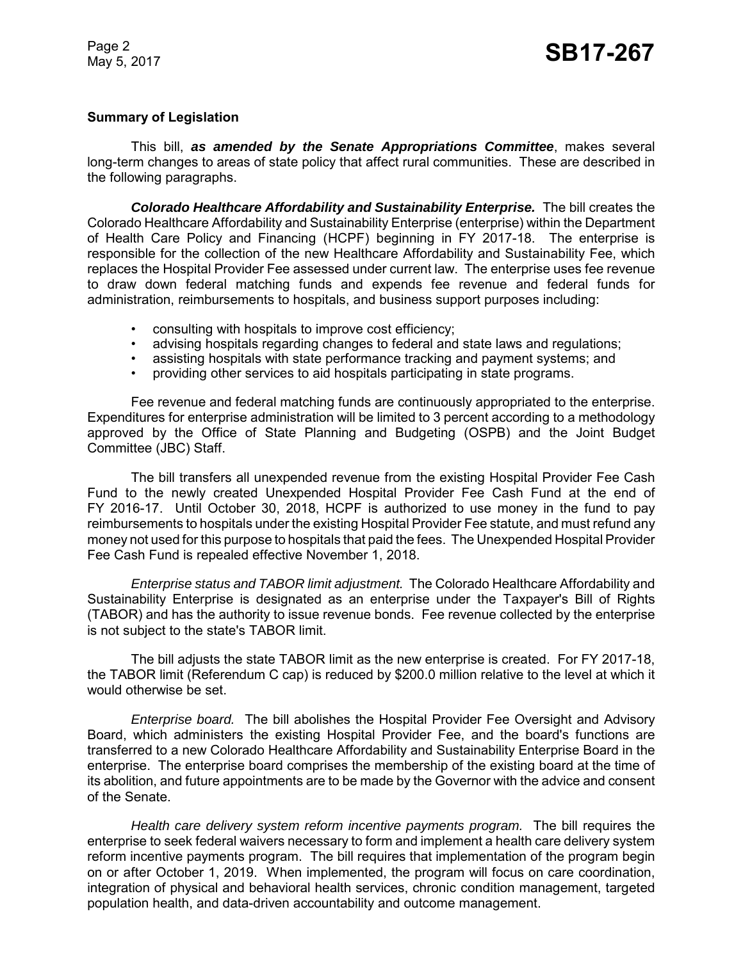### **Summary of Legislation**

This bill, *as amended by the Senate Appropriations Committee*, makes several long-term changes to areas of state policy that affect rural communities. These are described in the following paragraphs.

*Colorado Healthcare Affordability and Sustainability Enterprise.* The bill creates the Colorado Healthcare Affordability and Sustainability Enterprise (enterprise) within the Department of Health Care Policy and Financing (HCPF) beginning in FY 2017-18. The enterprise is responsible for the collection of the new Healthcare Affordability and Sustainability Fee, which replaces the Hospital Provider Fee assessed under current law. The enterprise uses fee revenue to draw down federal matching funds and expends fee revenue and federal funds for administration, reimbursements to hospitals, and business support purposes including:

- consulting with hospitals to improve cost efficiency;
- advising hospitals regarding changes to federal and state laws and regulations;
- assisting hospitals with state performance tracking and payment systems; and
- providing other services to aid hospitals participating in state programs.

Fee revenue and federal matching funds are continuously appropriated to the enterprise. Expenditures for enterprise administration will be limited to 3 percent according to a methodology approved by the Office of State Planning and Budgeting (OSPB) and the Joint Budget Committee (JBC) Staff.

The bill transfers all unexpended revenue from the existing Hospital Provider Fee Cash Fund to the newly created Unexpended Hospital Provider Fee Cash Fund at the end of FY 2016-17. Until October 30, 2018, HCPF is authorized to use money in the fund to pay reimbursements to hospitals under the existing Hospital Provider Fee statute, and must refund any money not used for this purpose to hospitals that paid the fees. The Unexpended Hospital Provider Fee Cash Fund is repealed effective November 1, 2018.

*Enterprise status and TABOR limit adjustment.* The Colorado Healthcare Affordability and Sustainability Enterprise is designated as an enterprise under the Taxpayer's Bill of Rights (TABOR) and has the authority to issue revenue bonds. Fee revenue collected by the enterprise is not subject to the state's TABOR limit.

The bill adjusts the state TABOR limit as the new enterprise is created. For FY 2017-18, the TABOR limit (Referendum C cap) is reduced by \$200.0 million relative to the level at which it would otherwise be set.

*Enterprise board.* The bill abolishes the Hospital Provider Fee Oversight and Advisory Board, which administers the existing Hospital Provider Fee, and the board's functions are transferred to a new Colorado Healthcare Affordability and Sustainability Enterprise Board in the enterprise. The enterprise board comprises the membership of the existing board at the time of its abolition, and future appointments are to be made by the Governor with the advice and consent of the Senate.

*Health care delivery system reform incentive payments program.* The bill requires the enterprise to seek federal waivers necessary to form and implement a health care delivery system reform incentive payments program. The bill requires that implementation of the program begin on or after October 1, 2019. When implemented, the program will focus on care coordination, integration of physical and behavioral health services, chronic condition management, targeted population health, and data-driven accountability and outcome management.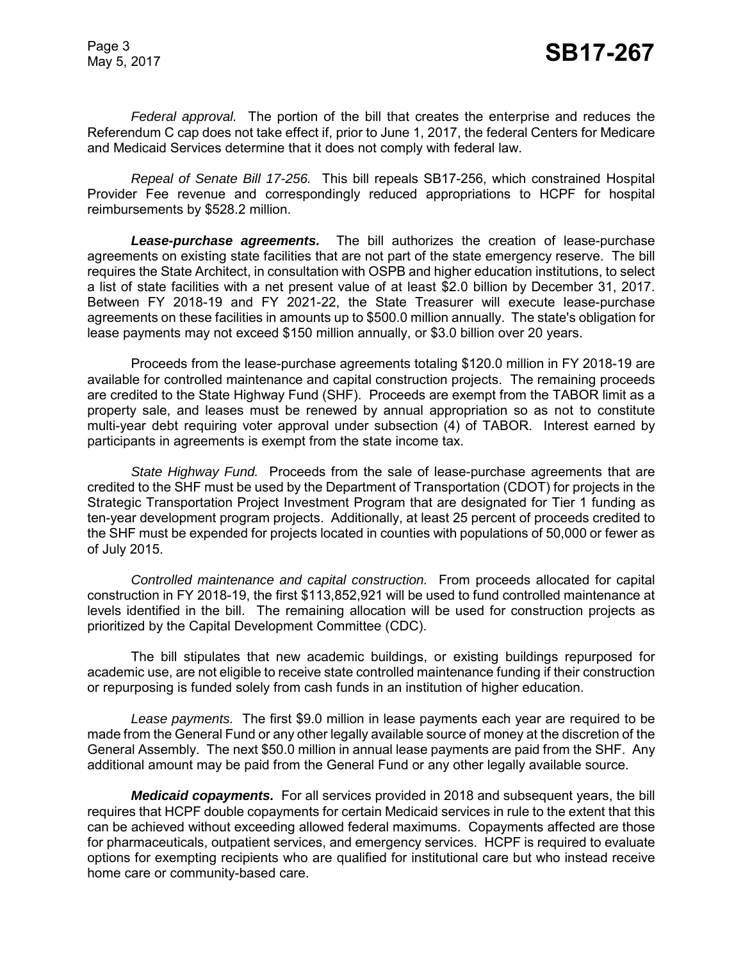*Federal approval.* The portion of the bill that creates the enterprise and reduces the Referendum C cap does not take effect if, prior to June 1, 2017, the federal Centers for Medicare and Medicaid Services determine that it does not comply with federal law.

*Repeal of Senate Bill 17-256.* This bill repeals SB17-256, which constrained Hospital Provider Fee revenue and correspondingly reduced appropriations to HCPF for hospital reimbursements by \$528.2 million.

*Lease-purchase agreements.* The bill authorizes the creation of lease-purchase agreements on existing state facilities that are not part of the state emergency reserve. The bill requires the State Architect, in consultation with OSPB and higher education institutions, to select a list of state facilities with a net present value of at least \$2.0 billion by December 31, 2017. Between FY 2018-19 and FY 2021-22, the State Treasurer will execute lease-purchase agreements on these facilities in amounts up to \$500.0 million annually. The state's obligation for lease payments may not exceed \$150 million annually, or \$3.0 billion over 20 years.

Proceeds from the lease-purchase agreements totaling \$120.0 million in FY 2018-19 are available for controlled maintenance and capital construction projects. The remaining proceeds are credited to the State Highway Fund (SHF). Proceeds are exempt from the TABOR limit as a property sale, and leases must be renewed by annual appropriation so as not to constitute multi-year debt requiring voter approval under subsection (4) of TABOR. Interest earned by participants in agreements is exempt from the state income tax.

*State Highway Fund.* Proceeds from the sale of lease-purchase agreements that are credited to the SHF must be used by the Department of Transportation (CDOT) for projects in the Strategic Transportation Project Investment Program that are designated for Tier 1 funding as ten-year development program projects. Additionally, at least 25 percent of proceeds credited to the SHF must be expended for projects located in counties with populations of 50,000 or fewer as of July 2015.

*Controlled maintenance and capital construction.* From proceeds allocated for capital construction in FY 2018-19, the first \$113,852,921 will be used to fund controlled maintenance at levels identified in the bill. The remaining allocation will be used for construction projects as prioritized by the Capital Development Committee (CDC).

The bill stipulates that new academic buildings, or existing buildings repurposed for academic use, are not eligible to receive state controlled maintenance funding if their construction or repurposing is funded solely from cash funds in an institution of higher education.

*Lease payments.* The first \$9.0 million in lease payments each year are required to be made from the General Fund or any other legally available source of money at the discretion of the General Assembly. The next \$50.0 million in annual lease payments are paid from the SHF. Any additional amount may be paid from the General Fund or any other legally available source.

*Medicaid copayments.* For all services provided in 2018 and subsequent years, the bill requires that HCPF double copayments for certain Medicaid services in rule to the extent that this can be achieved without exceeding allowed federal maximums. Copayments affected are those for pharmaceuticals, outpatient services, and emergency services. HCPF is required to evaluate options for exempting recipients who are qualified for institutional care but who instead receive home care or community-based care.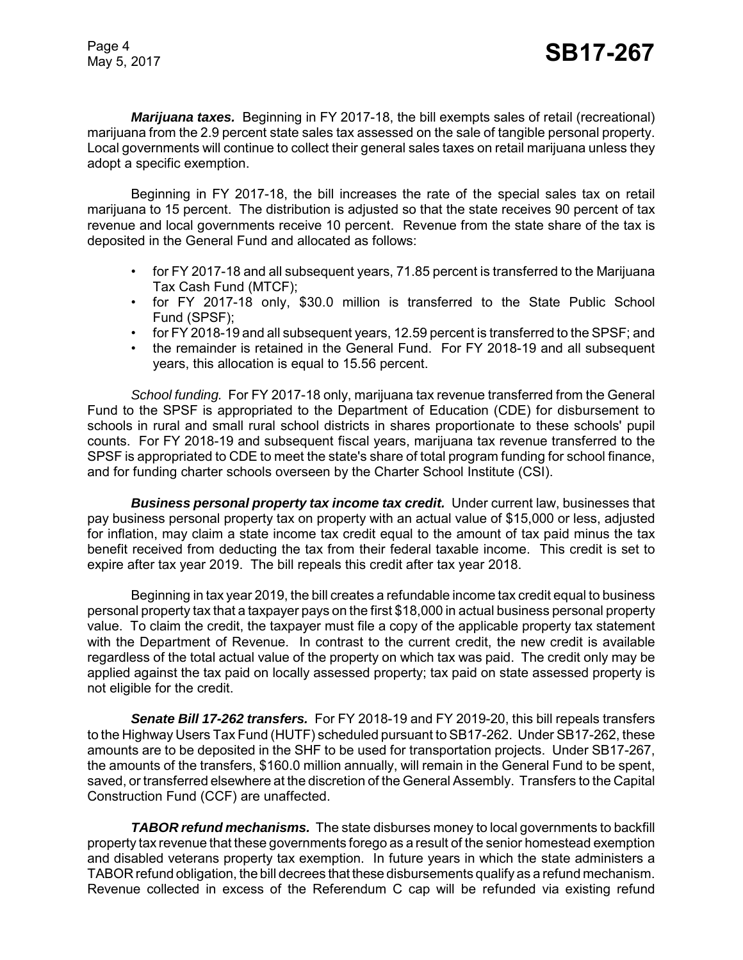*Marijuana taxes.* Beginning in FY 2017-18, the bill exempts sales of retail (recreational) marijuana from the 2.9 percent state sales tax assessed on the sale of tangible personal property. Local governments will continue to collect their general sales taxes on retail marijuana unless they adopt a specific exemption.

Beginning in FY 2017-18, the bill increases the rate of the special sales tax on retail marijuana to 15 percent. The distribution is adjusted so that the state receives 90 percent of tax revenue and local governments receive 10 percent. Revenue from the state share of the tax is deposited in the General Fund and allocated as follows:

- for FY 2017-18 and all subsequent years, 71.85 percent is transferred to the Marijuana Tax Cash Fund (MTCF);
- for FY 2017-18 only, \$30.0 million is transferred to the State Public School Fund (SPSF);
- for FY 2018-19 and all subsequent years, 12.59 percent is transferred to the SPSF; and
- the remainder is retained in the General Fund. For FY 2018-19 and all subsequent years, this allocation is equal to 15.56 percent.

*School funding.* For FY 2017-18 only, marijuana tax revenue transferred from the General Fund to the SPSF is appropriated to the Department of Education (CDE) for disbursement to schools in rural and small rural school districts in shares proportionate to these schools' pupil counts. For FY 2018-19 and subsequent fiscal years, marijuana tax revenue transferred to the SPSF is appropriated to CDE to meet the state's share of total program funding for school finance, and for funding charter schools overseen by the Charter School Institute (CSI).

*Business personal property tax income tax credit.* Under current law, businesses that pay business personal property tax on property with an actual value of \$15,000 or less, adjusted for inflation, may claim a state income tax credit equal to the amount of tax paid minus the tax benefit received from deducting the tax from their federal taxable income. This credit is set to expire after tax year 2019. The bill repeals this credit after tax year 2018.

Beginning in tax year 2019, the bill creates a refundable income tax credit equal to business personal property tax that a taxpayer pays on the first \$18,000 in actual business personal property value. To claim the credit, the taxpayer must file a copy of the applicable property tax statement with the Department of Revenue. In contrast to the current credit, the new credit is available regardless of the total actual value of the property on which tax was paid. The credit only may be applied against the tax paid on locally assessed property; tax paid on state assessed property is not eligible for the credit.

*Senate Bill 17-262 transfers.* For FY 2018-19 and FY 2019-20, this bill repeals transfers to the Highway Users Tax Fund (HUTF) scheduled pursuant to SB17-262. Under SB17-262, these amounts are to be deposited in the SHF to be used for transportation projects. Under SB17-267, the amounts of the transfers, \$160.0 million annually, will remain in the General Fund to be spent, saved, or transferred elsewhere at the discretion of the General Assembly. Transfers to the Capital Construction Fund (CCF) are unaffected.

*TABOR refund mechanisms.* The state disburses money to local governments to backfill property tax revenue that these governments forego as a result of the senior homestead exemption and disabled veterans property tax exemption. In future years in which the state administers a TABOR refund obligation, the bill decrees that these disbursements qualify as a refund mechanism. Revenue collected in excess of the Referendum C cap will be refunded via existing refund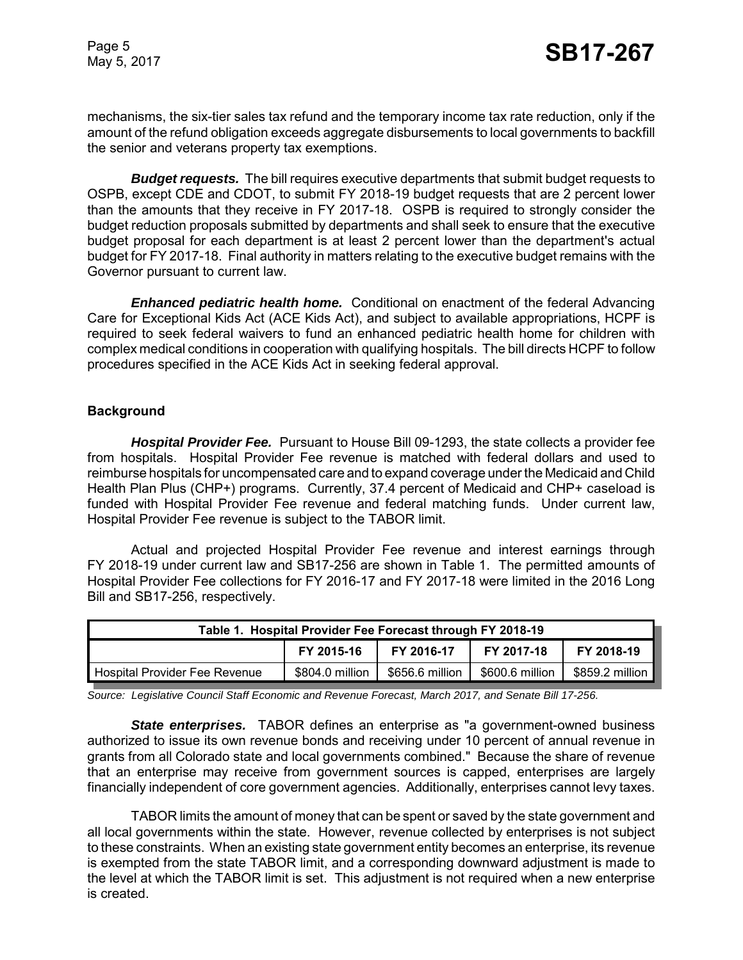mechanisms, the six-tier sales tax refund and the temporary income tax rate reduction, only if the amount of the refund obligation exceeds aggregate disbursements to local governments to backfill the senior and veterans property tax exemptions.

*Budget requests.* The bill requires executive departments that submit budget requests to OSPB, except CDE and CDOT, to submit FY 2018-19 budget requests that are 2 percent lower than the amounts that they receive in FY 2017-18. OSPB is required to strongly consider the budget reduction proposals submitted by departments and shall seek to ensure that the executive budget proposal for each department is at least 2 percent lower than the department's actual budget for FY 2017-18. Final authority in matters relating to the executive budget remains with the Governor pursuant to current law.

*Enhanced pediatric health home.* Conditional on enactment of the federal Advancing Care for Exceptional Kids Act (ACE Kids Act), and subject to available appropriations, HCPF is required to seek federal waivers to fund an enhanced pediatric health home for children with complex medical conditions in cooperation with qualifying hospitals. The bill directs HCPF to follow procedures specified in the ACE Kids Act in seeking federal approval.

#### **Background**

*Hospital Provider Fee.* Pursuant to House Bill 09-1293, the state collects a provider fee from hospitals. Hospital Provider Fee revenue is matched with federal dollars and used to reimburse hospitals for uncompensated care and to expand coverage under the Medicaid and Child Health Plan Plus (CHP+) programs. Currently, 37.4 percent of Medicaid and CHP+ caseload is funded with Hospital Provider Fee revenue and federal matching funds. Under current law, Hospital Provider Fee revenue is subject to the TABOR limit.

Actual and projected Hospital Provider Fee revenue and interest earnings through FY 2018-19 under current law and SB17-256 are shown in Table 1. The permitted amounts of Hospital Provider Fee collections for FY 2016-17 and FY 2017-18 were limited in the 2016 Long Bill and SB17-256, respectively.

| Table 1. Hospital Provider Fee Forecast through FY 2018-19                                                  |  |  |  |  |  |
|-------------------------------------------------------------------------------------------------------------|--|--|--|--|--|
| FY 2018-19<br>FY 2015-16<br>FY 2017-18<br>FY 2016-17                                                        |  |  |  |  |  |
| \$804.0 million<br>\$656.6 million<br>\$859.2 million  <br>\$600.6 million<br>Hospital Provider Fee Revenue |  |  |  |  |  |

*Source: Legislative Council Staff Economic and Revenue Forecast, March 2017, and Senate Bill 17-256.*

*State enterprises.* TABOR defines an enterprise as "a government-owned business authorized to issue its own revenue bonds and receiving under 10 percent of annual revenue in grants from all Colorado state and local governments combined." Because the share of revenue that an enterprise may receive from government sources is capped, enterprises are largely financially independent of core government agencies. Additionally, enterprises cannot levy taxes.

TABOR limits the amount of money that can be spent or saved by the state government and all local governments within the state. However, revenue collected by enterprises is not subject to these constraints. When an existing state government entity becomes an enterprise, its revenue is exempted from the state TABOR limit, and a corresponding downward adjustment is made to the level at which the TABOR limit is set. This adjustment is not required when a new enterprise is created.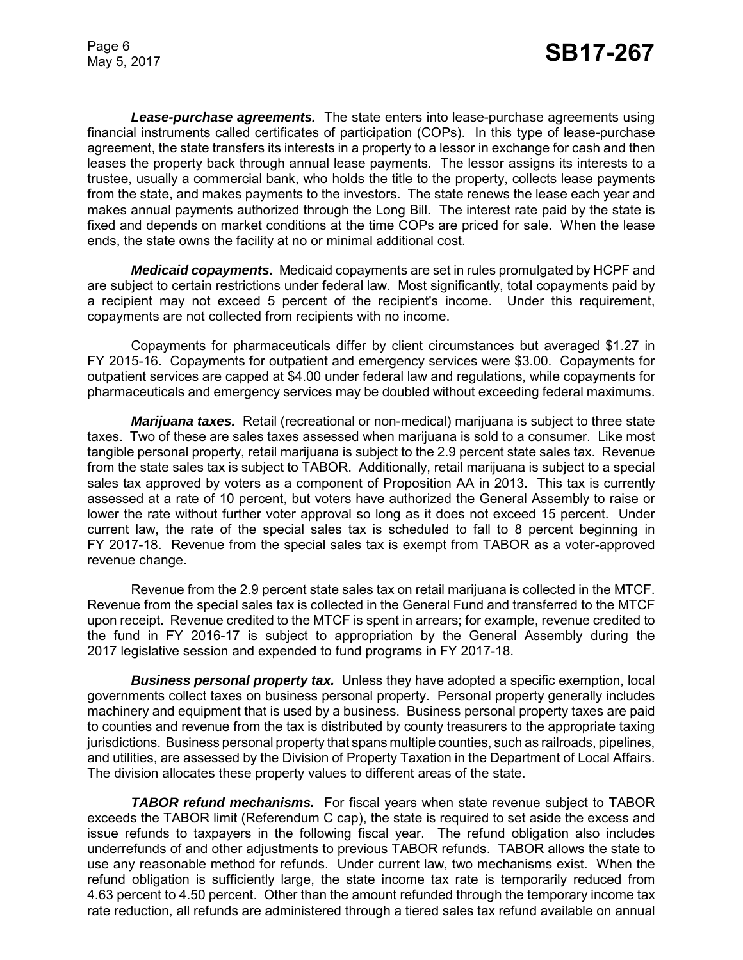*Lease-purchase agreements.* The state enters into lease-purchase agreements using financial instruments called certificates of participation (COPs). In this type of lease-purchase agreement, the state transfers its interests in a property to a lessor in exchange for cash and then leases the property back through annual lease payments. The lessor assigns its interests to a trustee, usually a commercial bank, who holds the title to the property, collects lease payments from the state, and makes payments to the investors. The state renews the lease each year and makes annual payments authorized through the Long Bill. The interest rate paid by the state is fixed and depends on market conditions at the time COPs are priced for sale. When the lease ends, the state owns the facility at no or minimal additional cost.

*Medicaid copayments.* Medicaid copayments are set in rules promulgated by HCPF and are subject to certain restrictions under federal law. Most significantly, total copayments paid by a recipient may not exceed 5 percent of the recipient's income. Under this requirement, copayments are not collected from recipients with no income.

Copayments for pharmaceuticals differ by client circumstances but averaged \$1.27 in FY 2015-16. Copayments for outpatient and emergency services were \$3.00. Copayments for outpatient services are capped at \$4.00 under federal law and regulations, while copayments for pharmaceuticals and emergency services may be doubled without exceeding federal maximums.

*Marijuana taxes.* Retail (recreational or non-medical) marijuana is subject to three state taxes. Two of these are sales taxes assessed when marijuana is sold to a consumer. Like most tangible personal property, retail marijuana is subject to the 2.9 percent state sales tax. Revenue from the state sales tax is subject to TABOR. Additionally, retail marijuana is subject to a special sales tax approved by voters as a component of Proposition AA in 2013. This tax is currently assessed at a rate of 10 percent, but voters have authorized the General Assembly to raise or lower the rate without further voter approval so long as it does not exceed 15 percent. Under current law, the rate of the special sales tax is scheduled to fall to 8 percent beginning in FY 2017-18. Revenue from the special sales tax is exempt from TABOR as a voter-approved revenue change.

Revenue from the 2.9 percent state sales tax on retail marijuana is collected in the MTCF. Revenue from the special sales tax is collected in the General Fund and transferred to the MTCF upon receipt. Revenue credited to the MTCF is spent in arrears; for example, revenue credited to the fund in FY 2016-17 is subject to appropriation by the General Assembly during the 2017 legislative session and expended to fund programs in FY 2017-18.

*Business personal property tax.* Unless they have adopted a specific exemption, local governments collect taxes on business personal property. Personal property generally includes machinery and equipment that is used by a business. Business personal property taxes are paid to counties and revenue from the tax is distributed by county treasurers to the appropriate taxing jurisdictions. Business personal property that spans multiple counties, such as railroads, pipelines, and utilities, are assessed by the Division of Property Taxation in the Department of Local Affairs. The division allocates these property values to different areas of the state.

*TABOR refund mechanisms.* For fiscal years when state revenue subject to TABOR exceeds the TABOR limit (Referendum C cap), the state is required to set aside the excess and issue refunds to taxpayers in the following fiscal year. The refund obligation also includes underrefunds of and other adjustments to previous TABOR refunds. TABOR allows the state to use any reasonable method for refunds. Under current law, two mechanisms exist. When the refund obligation is sufficiently large, the state income tax rate is temporarily reduced from 4.63 percent to 4.50 percent. Other than the amount refunded through the temporary income tax rate reduction, all refunds are administered through a tiered sales tax refund available on annual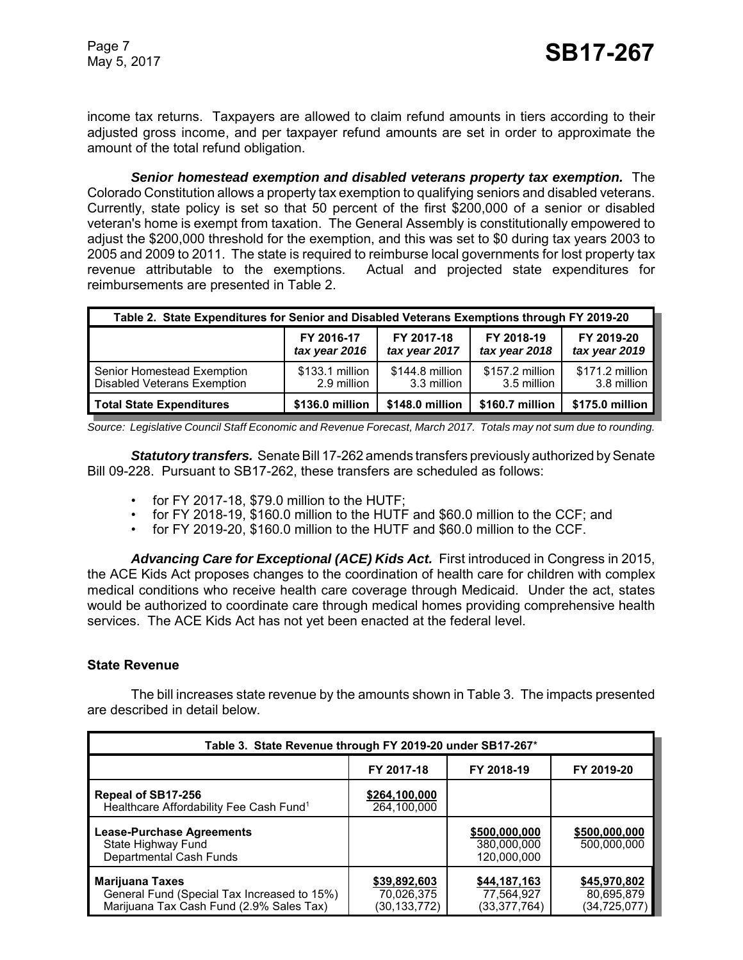income tax returns. Taxpayers are allowed to claim refund amounts in tiers according to their adjusted gross income, and per taxpayer refund amounts are set in order to approximate the amount of the total refund obligation.

*Senior homestead exemption and disabled veterans property tax exemption.* The Colorado Constitution allows a property tax exemption to qualifying seniors and disabled veterans. Currently, state policy is set so that 50 percent of the first \$200,000 of a senior or disabled veteran's home is exempt from taxation. The General Assembly is constitutionally empowered to adjust the \$200,000 threshold for the exemption, and this was set to \$0 during tax years 2003 to 2005 and 2009 to 2011. The state is required to reimburse local governments for lost property tax revenue attributable to the exemptions. Actual and projected state expenditures for reimbursements are presented in Table 2.

| Table 2. State Expenditures for Senior and Disabled Veterans Exemptions through FY 2019-20                  |                                                                                                                          |                                |                                |                                |  |
|-------------------------------------------------------------------------------------------------------------|--------------------------------------------------------------------------------------------------------------------------|--------------------------------|--------------------------------|--------------------------------|--|
|                                                                                                             | FY 2017-18<br>FY 2018-19<br>FY 2019-20<br>FY 2016-17<br>tax year 2017<br>tax year 2018<br>tax year 2019<br>tax year 2016 |                                |                                |                                |  |
| Senior Homestead Exemption<br><b>Disabled Veterans Exemption</b>                                            | \$133.1 million<br>2.9 million                                                                                           | \$144.8 million<br>3.3 million | \$157.2 million<br>3.5 million | \$171.2 million<br>3.8 million |  |
| \$175.0 million<br>\$148.0 million<br>\$160.7 million<br>\$136.0 million<br><b>Total State Expenditures</b> |                                                                                                                          |                                |                                |                                |  |

*Source: Legislative Council Staff Economic and Revenue Forecast, March 2017. Totals may not sum due to rounding.*

*Statutory transfers.* Senate Bill 17-262 amends transfers previously authorized by Senate Bill 09-228. Pursuant to SB17-262, these transfers are scheduled as follows:

- for FY 2017-18, \$79.0 million to the HUTF;
- for FY 2018-19, \$160.0 million to the HUTF and \$60.0 million to the CCF; and
- for FY 2019-20, \$160.0 million to the HUTF and \$60.0 million to the CCF.

*Advancing Care for Exceptional (ACE) Kids Act.* First introduced in Congress in 2015, the ACE Kids Act proposes changes to the coordination of health care for children with complex medical conditions who receive health care coverage through Medicaid. Under the act, states would be authorized to coordinate care through medical homes providing comprehensive health services. The ACE Kids Act has not yet been enacted at the federal level.

#### **State Revenue**

The bill increases state revenue by the amounts shown in Table 3. The impacts presented are described in detail below.

| Table 3. State Revenue through FY 2019-20 under SB17-267*                                                         |                                            |                                             |                                              |  |  |
|-------------------------------------------------------------------------------------------------------------------|--------------------------------------------|---------------------------------------------|----------------------------------------------|--|--|
| FY 2017-18<br>FY 2018-19<br>FY 2019-20                                                                            |                                            |                                             |                                              |  |  |
| Repeal of SB17-256<br>Healthcare Affordability Fee Cash Fund <sup>1</sup>                                         | \$264,100,000<br>264.100.000               |                                             |                                              |  |  |
| <b>Lease-Purchase Agreements</b><br>State Highway Fund<br>Departmental Cash Funds                                 |                                            | \$500,000,000<br>380,000,000<br>120,000,000 | \$500,000,000<br>500.000.000                 |  |  |
| <b>Marijuana Taxes</b><br>General Fund (Special Tax Increased to 15%)<br>Marijuana Tax Cash Fund (2.9% Sales Tax) | \$39,892,603<br>70,026,375<br>(30,133,772) | \$44,187,163<br>77,564,927<br>(33,377,764)  | \$45,970,802<br>80,695,879<br>(34, 725, 077) |  |  |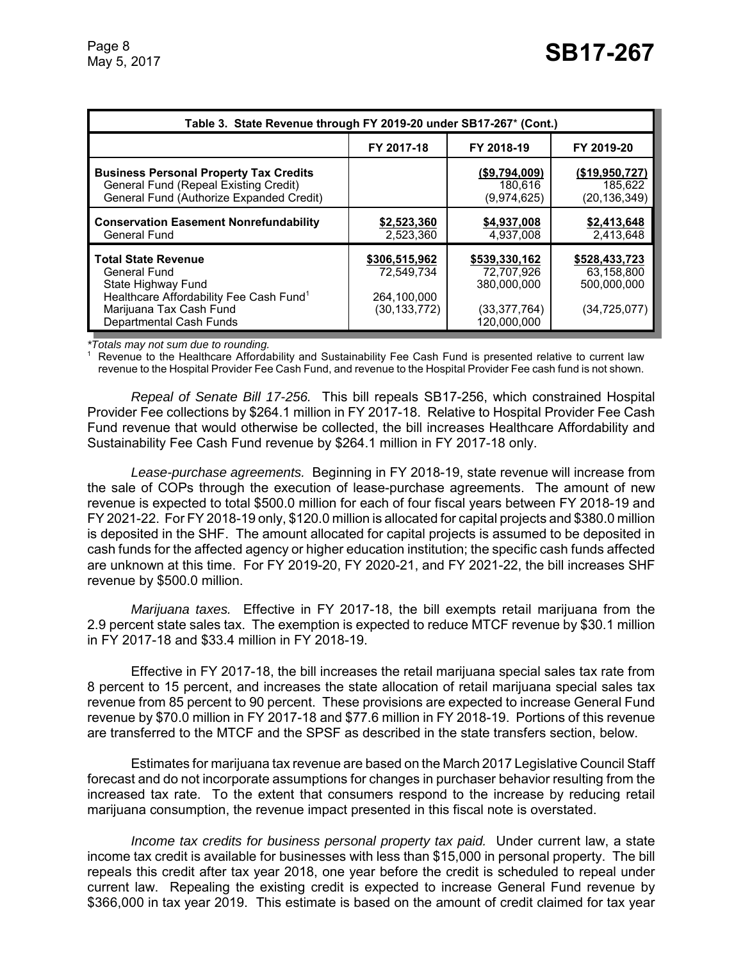| Table 3. State Revenue through FY 2019-20 under SB17-267* (Cont.)                                                                                                             |                                                              |                                                                           |                                                            |  |  |
|-------------------------------------------------------------------------------------------------------------------------------------------------------------------------------|--------------------------------------------------------------|---------------------------------------------------------------------------|------------------------------------------------------------|--|--|
|                                                                                                                                                                               | FY 2017-18                                                   | FY 2018-19                                                                | FY 2019-20                                                 |  |  |
| <b>Business Personal Property Tax Credits</b><br>General Fund (Repeal Existing Credit)<br>General Fund (Authorize Expanded Credit)                                            |                                                              | (\$9,794,009)<br>180.616<br>(9,974,625)                                   | (\$19,950,727)<br>185.622<br>(20, 136, 349)                |  |  |
| <b>Conservation Easement Nonrefundability</b><br><b>General Fund</b>                                                                                                          | \$2,523,360<br>2,523,360                                     | \$4,937,008<br>4,937,008                                                  | \$2,413,648<br>2,413,648                                   |  |  |
| <b>Total State Revenue</b><br>General Fund<br>State Highway Fund<br>Healthcare Affordability Fee Cash Fund <sup>1</sup><br>Marijuana Tax Cash Fund<br>Departmental Cash Funds | \$306,515,962<br>72.549.734<br>264,100,000<br>(30, 133, 772) | \$539,330,162<br>72,707,926<br>380.000.000<br>(33,377,764)<br>120.000.000 | \$528,433,723<br>63,158,800<br>500.000.000<br>(34,725,077) |  |  |

*\*Totals may not sum due to rounding.*

<sup>1</sup> Revenue to the Healthcare Affordability and Sustainability Fee Cash Fund is presented relative to current law revenue to the Hospital Provider Fee Cash Fund, and revenue to the Hospital Provider Fee cash fund is not shown.

*Repeal of Senate Bill 17-256.* This bill repeals SB17-256, which constrained Hospital Provider Fee collections by \$264.1 million in FY 2017-18. Relative to Hospital Provider Fee Cash Fund revenue that would otherwise be collected, the bill increases Healthcare Affordability and Sustainability Fee Cash Fund revenue by \$264.1 million in FY 2017-18 only.

*Lease-purchase agreements.* Beginning in FY 2018-19, state revenue will increase from the sale of COPs through the execution of lease-purchase agreements. The amount of new revenue is expected to total \$500.0 million for each of four fiscal years between FY 2018-19 and FY 2021-22. For FY 2018-19 only, \$120.0 million is allocated for capital projects and \$380.0 million is deposited in the SHF. The amount allocated for capital projects is assumed to be deposited in cash funds for the affected agency or higher education institution; the specific cash funds affected are unknown at this time. For FY 2019-20, FY 2020-21, and FY 2021-22, the bill increases SHF revenue by \$500.0 million.

*Marijuana taxes.* Effective in FY 2017-18, the bill exempts retail marijuana from the 2.9 percent state sales tax. The exemption is expected to reduce MTCF revenue by \$30.1 million in FY 2017-18 and \$33.4 million in FY 2018-19.

Effective in FY 2017-18, the bill increases the retail marijuana special sales tax rate from 8 percent to 15 percent, and increases the state allocation of retail marijuana special sales tax revenue from 85 percent to 90 percent. These provisions are expected to increase General Fund revenue by \$70.0 million in FY 2017-18 and \$77.6 million in FY 2018-19. Portions of this revenue are transferred to the MTCF and the SPSF as described in the state transfers section, below.

Estimates for marijuana tax revenue are based on the March 2017 Legislative Council Staff forecast and do not incorporate assumptions for changes in purchaser behavior resulting from the increased tax rate. To the extent that consumers respond to the increase by reducing retail marijuana consumption, the revenue impact presented in this fiscal note is overstated.

*Income tax credits for business personal property tax paid.* Under current law, a state income tax credit is available for businesses with less than \$15,000 in personal property. The bill repeals this credit after tax year 2018, one year before the credit is scheduled to repeal under current law. Repealing the existing credit is expected to increase General Fund revenue by \$366,000 in tax year 2019. This estimate is based on the amount of credit claimed for tax year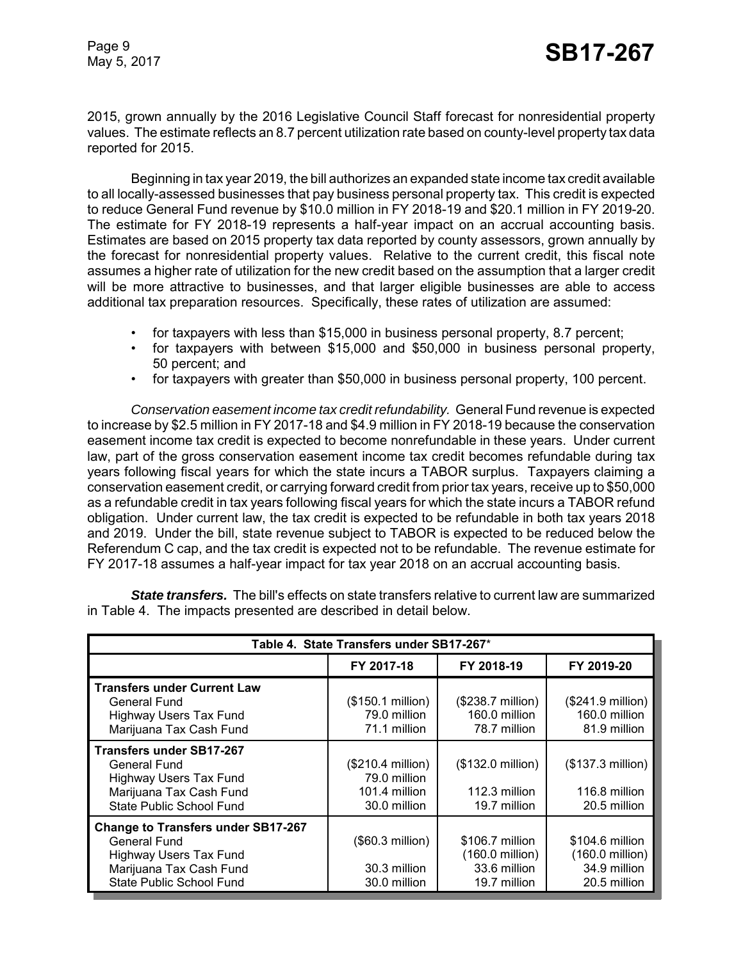2015, grown annually by the 2016 Legislative Council Staff forecast for nonresidential property values. The estimate reflects an 8.7 percent utilization rate based on county-level property tax data reported for 2015.

Beginning in tax year 2019, the bill authorizes an expanded state income tax credit available to all locally-assessed businesses that pay business personal property tax. This credit is expected to reduce General Fund revenue by \$10.0 million in FY 2018-19 and \$20.1 million in FY 2019-20. The estimate for FY 2018-19 represents a half-year impact on an accrual accounting basis. Estimates are based on 2015 property tax data reported by county assessors, grown annually by the forecast for nonresidential property values. Relative to the current credit, this fiscal note assumes a higher rate of utilization for the new credit based on the assumption that a larger credit will be more attractive to businesses, and that larger eligible businesses are able to access additional tax preparation resources. Specifically, these rates of utilization are assumed:

- for taxpayers with less than \$15,000 in business personal property, 8.7 percent;
- for taxpayers with between \$15,000 and \$50,000 in business personal property, 50 percent; and
- for taxpayers with greater than \$50,000 in business personal property, 100 percent.

*Conservation easement income tax credit refundability.* General Fund revenue is expected to increase by \$2.5 million in FY 2017-18 and \$4.9 million in FY 2018-19 because the conservation easement income tax credit is expected to become nonrefundable in these years. Under current law, part of the gross conservation easement income tax credit becomes refundable during tax years following fiscal years for which the state incurs a TABOR surplus. Taxpayers claiming a conservation easement credit, or carrying forward credit from prior tax years, receive up to \$50,000 as a refundable credit in tax years following fiscal years for which the state incurs a TABOR refund obligation. Under current law, the tax credit is expected to be refundable in both tax years 2018 and 2019. Under the bill, state revenue subject to TABOR is expected to be reduced below the Referendum C cap, and the tax credit is expected not to be refundable. The revenue estimate for FY 2017-18 assumes a half-year impact for tax year 2018 on an accrual accounting basis.

*State transfers.* The bill's effects on state transfers relative to current law are summarized in Table 4. The impacts presented are described in detail below.

| Table 4. State Transfers under SB17-267*                                                                                                                        |                                                                    |                                                                    |                                                                    |  |  |  |
|-----------------------------------------------------------------------------------------------------------------------------------------------------------------|--------------------------------------------------------------------|--------------------------------------------------------------------|--------------------------------------------------------------------|--|--|--|
| FY 2017-18<br>FY 2018-19<br>FY 2019-20                                                                                                                          |                                                                    |                                                                    |                                                                    |  |  |  |
| <b>Transfers under Current Law</b><br>General Fund<br><b>Highway Users Tax Fund</b><br>Marijuana Tax Cash Fund                                                  | (\$150.1 million)<br>79.0 million<br>71.1 million                  | (\$238.7 million)<br>160.0 million<br>78.7 million                 | $($241.9 \text{ million})$<br>160.0 million<br>81.9 million        |  |  |  |
| Transfers under SB17-267<br>General Fund<br><b>Highway Users Tax Fund</b><br>Marijuana Tax Cash Fund<br>State Public School Fund                                | (\$210.4 million)<br>79.0 million<br>101.4 million<br>30.0 million | (\$132.0 million)<br>112.3 million<br>19.7 million                 | (\$137.3 million)<br>116.8 million<br>20.5 million                 |  |  |  |
| <b>Change to Transfers under SB17-267</b><br><b>General Fund</b><br><b>Highway Users Tax Fund</b><br>Marijuana Tax Cash Fund<br><b>State Public School Fund</b> | (\$60.3 million)<br>30.3 million<br>30.0 million                   | \$106.7 million<br>(160.0 million)<br>33.6 million<br>19.7 million | \$104.6 million<br>(160.0 million)<br>34.9 million<br>20.5 million |  |  |  |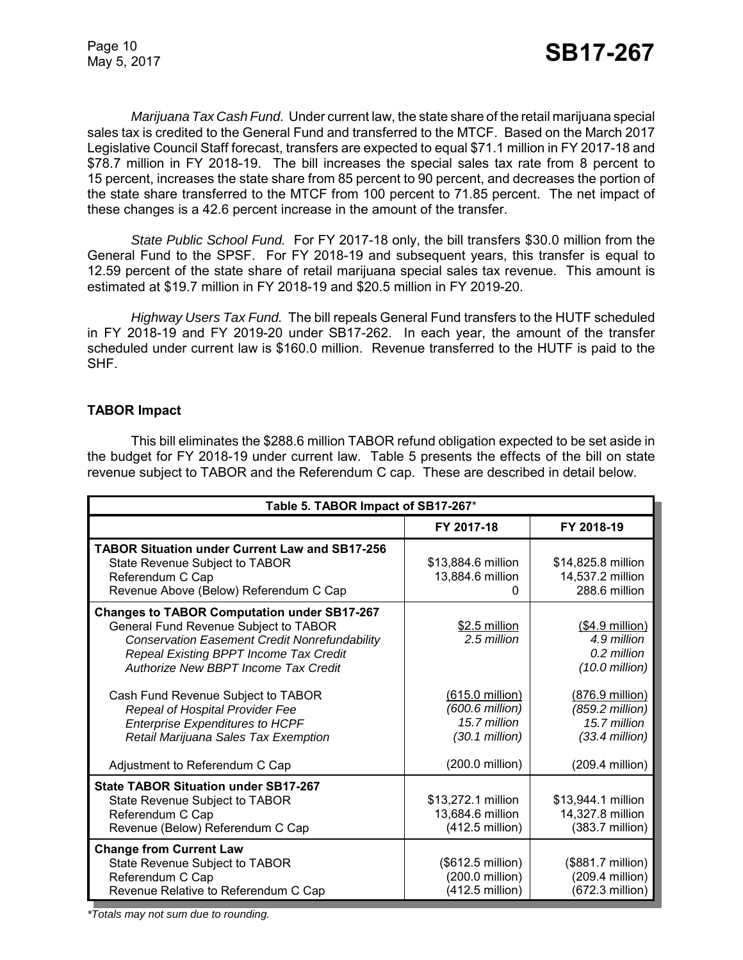*Marijuana Tax Cash Fund.* Under current law, the state share of the retail marijuana special sales tax is credited to the General Fund and transferred to the MTCF. Based on the March 2017 Legislative Council Staff forecast, transfers are expected to equal \$71.1 million in FY 2017-18 and \$78.7 million in FY 2018-19. The bill increases the special sales tax rate from 8 percent to 15 percent, increases the state share from 85 percent to 90 percent, and decreases the portion of the state share transferred to the MTCF from 100 percent to 71.85 percent. The net impact of these changes is a 42.6 percent increase in the amount of the transfer.

*State Public School Fund.* For FY 2017-18 only, the bill transfers \$30.0 million from the General Fund to the SPSF. For FY 2018-19 and subsequent years, this transfer is equal to 12.59 percent of the state share of retail marijuana special sales tax revenue. This amount is estimated at \$19.7 million in FY 2018-19 and \$20.5 million in FY 2019-20.

*Highway Users Tax Fund.* The bill repeals General Fund transfers to the HUTF scheduled in FY 2018-19 and FY 2019-20 under SB17-262. In each year, the amount of the transfer scheduled under current law is \$160.0 million. Revenue transferred to the HUTF is paid to the SHF.

## **TABOR Impact**

This bill eliminates the \$288.6 million TABOR refund obligation expected to be set aside in the budget for FY 2018-19 under current law. Table 5 presents the effects of the bill on state revenue subject to TABOR and the Referendum C cap. These are described in detail below.

| Table 5. TABOR Impact of SB17-267*                                                                                                                                                                                                    |                                                                                           |                                                                                           |  |  |  |
|---------------------------------------------------------------------------------------------------------------------------------------------------------------------------------------------------------------------------------------|-------------------------------------------------------------------------------------------|-------------------------------------------------------------------------------------------|--|--|--|
|                                                                                                                                                                                                                                       | FY 2017-18                                                                                | FY 2018-19                                                                                |  |  |  |
| <b>TABOR Situation under Current Law and SB17-256</b><br>State Revenue Subject to TABOR<br>Referendum C Cap<br>Revenue Above (Below) Referendum C Cap                                                                                 | \$13,884.6 million<br>13,884.6 million<br>0                                               | \$14,825.8 million<br>14,537.2 million<br>288.6 million                                   |  |  |  |
| <b>Changes to TABOR Computation under SB17-267</b><br>General Fund Revenue Subject to TABOR<br><b>Conservation Easement Credit Nonrefundability</b><br>Repeal Existing BPPT Income Tax Credit<br>Authorize New BBPT Income Tax Credit | \$2.5 million<br>2.5 million                                                              | $( $4.9$ million)<br>4.9 million<br>0.2 million<br>$(10.0 \text{ million})$               |  |  |  |
| Cash Fund Revenue Subject to TABOR<br>Repeal of Hospital Provider Fee<br><b>Enterprise Expenditures to HCPF</b><br>Retail Marijuana Sales Tax Exemption                                                                               | (615.0 million)<br>(600.6 million)<br>15.7 million<br>$(30.1$ million)<br>(200.0 million) | (876.9 million)<br>(859.2 million)<br>15.7 million<br>$(33.4$ million)<br>(209.4 million) |  |  |  |
| Adjustment to Referendum C Cap<br><b>State TABOR Situation under SB17-267</b><br>State Revenue Subject to TABOR<br>Referendum C Cap<br>Revenue (Below) Referendum C Cap                                                               | \$13,272.1 million<br>13,684.6 million<br>(412.5 million)                                 | \$13,944.1 million<br>14,327.8 million<br>(383.7 million)                                 |  |  |  |
| <b>Change from Current Law</b><br>State Revenue Subject to TABOR<br>Referendum C Cap<br>Revenue Relative to Referendum C Cap                                                                                                          | (\$612.5 million)<br>(200.0 million)<br>(412.5 million)                                   | (\$881.7 million)<br>(209.4 million)<br>$(672.3$ million)                                 |  |  |  |

*\*Totals may not sum due to rounding.*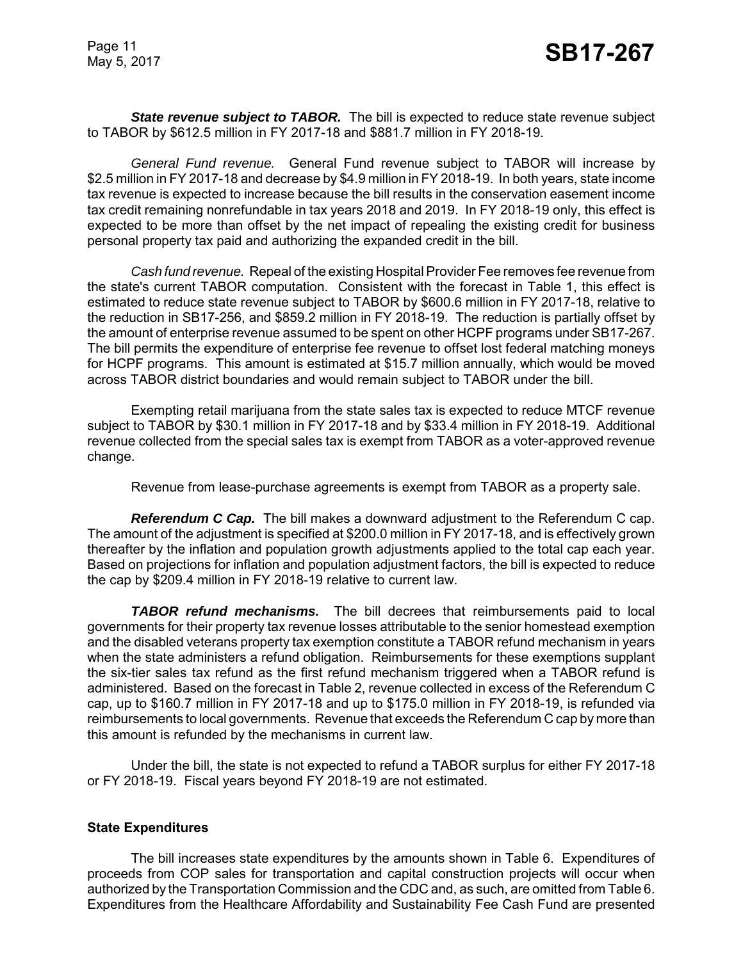**State revenue subject to TABOR.** The bill is expected to reduce state revenue subject to TABOR by \$612.5 million in FY 2017-18 and \$881.7 million in FY 2018-19.

*General Fund revenue.* General Fund revenue subject to TABOR will increase by \$2.5 million in FY 2017-18 and decrease by \$4.9 million in FY 2018-19. In both years, state income tax revenue is expected to increase because the bill results in the conservation easement income tax credit remaining nonrefundable in tax years 2018 and 2019. In FY 2018-19 only, this effect is expected to be more than offset by the net impact of repealing the existing credit for business personal property tax paid and authorizing the expanded credit in the bill.

*Cash fund revenue.* Repeal of the existing Hospital Provider Fee removes fee revenue from the state's current TABOR computation. Consistent with the forecast in Table 1, this effect is estimated to reduce state revenue subject to TABOR by \$600.6 million in FY 2017-18, relative to the reduction in SB17-256, and \$859.2 million in FY 2018-19. The reduction is partially offset by the amount of enterprise revenue assumed to be spent on other HCPF programs under SB17-267. The bill permits the expenditure of enterprise fee revenue to offset lost federal matching moneys for HCPF programs. This amount is estimated at \$15.7 million annually, which would be moved across TABOR district boundaries and would remain subject to TABOR under the bill.

Exempting retail marijuana from the state sales tax is expected to reduce MTCF revenue subject to TABOR by \$30.1 million in FY 2017-18 and by \$33.4 million in FY 2018-19. Additional revenue collected from the special sales tax is exempt from TABOR as a voter-approved revenue change.

Revenue from lease-purchase agreements is exempt from TABOR as a property sale.

*Referendum C Cap.* The bill makes a downward adjustment to the Referendum C cap. The amount of the adjustment is specified at \$200.0 million in FY 2017-18, and is effectively grown thereafter by the inflation and population growth adjustments applied to the total cap each year. Based on projections for inflation and population adjustment factors, the bill is expected to reduce the cap by \$209.4 million in FY 2018-19 relative to current law.

*TABOR refund mechanisms.* The bill decrees that reimbursements paid to local governments for their property tax revenue losses attributable to the senior homestead exemption and the disabled veterans property tax exemption constitute a TABOR refund mechanism in years when the state administers a refund obligation. Reimbursements for these exemptions supplant the six-tier sales tax refund as the first refund mechanism triggered when a TABOR refund is administered. Based on the forecast in Table 2, revenue collected in excess of the Referendum C cap, up to \$160.7 million in FY 2017-18 and up to \$175.0 million in FY 2018-19, is refunded via reimbursements to local governments. Revenue that exceeds the Referendum C cap by more than this amount is refunded by the mechanisms in current law.

Under the bill, the state is not expected to refund a TABOR surplus for either FY 2017-18 or FY 2018-19. Fiscal years beyond FY 2018-19 are not estimated.

#### **State Expenditures**

The bill increases state expenditures by the amounts shown in Table 6. Expenditures of proceeds from COP sales for transportation and capital construction projects will occur when authorized by the Transportation Commission and the CDC and, as such, are omitted from Table 6. Expenditures from the Healthcare Affordability and Sustainability Fee Cash Fund are presented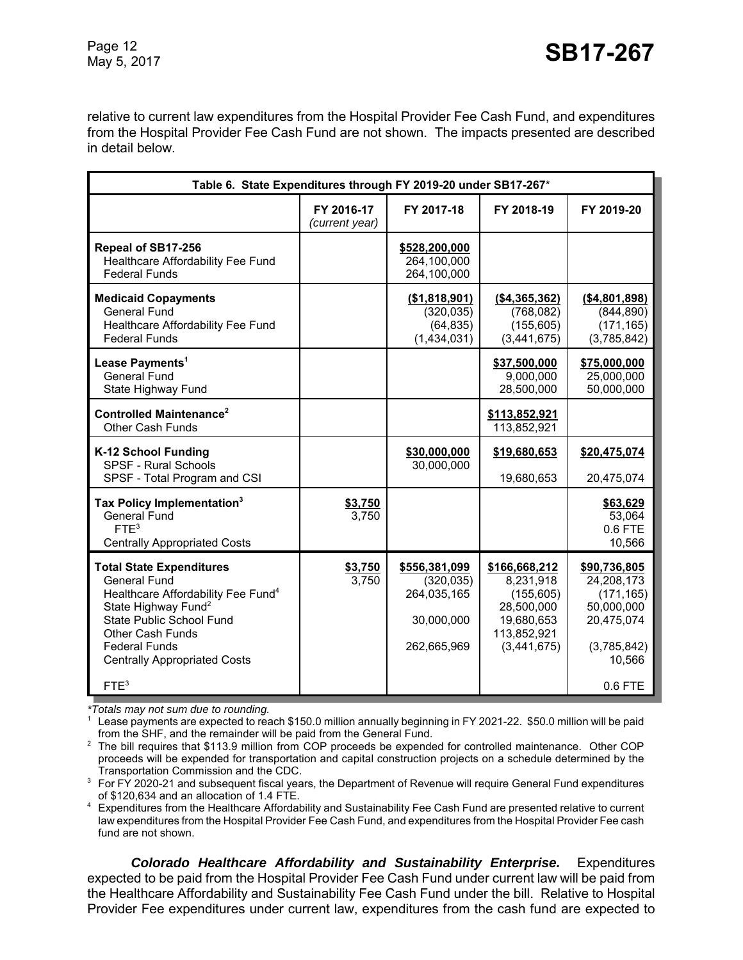relative to current law expenditures from the Hospital Provider Fee Cash Fund, and expenditures from the Hospital Provider Fee Cash Fund are not shown. The impacts presented are described in detail below.

| Table 6. State Expenditures through FY 2019-20 under SB17-267*                                                                                                                                                                                                    |                                                                        |                                                                         |                                                                                                    |                                                                                               |  |
|-------------------------------------------------------------------------------------------------------------------------------------------------------------------------------------------------------------------------------------------------------------------|------------------------------------------------------------------------|-------------------------------------------------------------------------|----------------------------------------------------------------------------------------------------|-----------------------------------------------------------------------------------------------|--|
|                                                                                                                                                                                                                                                                   | FY 2016-17<br>FY 2017-18<br>FY 2018-19<br>FY 2019-20<br>(current year) |                                                                         |                                                                                                    |                                                                                               |  |
| Repeal of SB17-256<br>Healthcare Affordability Fee Fund<br><b>Federal Funds</b>                                                                                                                                                                                   |                                                                        | \$528,200,000<br>264,100,000<br>264,100,000                             |                                                                                                    |                                                                                               |  |
| <b>Medicaid Copayments</b><br><b>General Fund</b><br>Healthcare Affordability Fee Fund<br><b>Federal Funds</b>                                                                                                                                                    |                                                                        | (\$1,818,901)<br>(320, 035)<br>(64, 835)<br>(1,434,031)                 | (\$4,365,362)<br>(768, 082)<br>(155, 605)<br>(3,441,675)                                           | ( \$4,801,898)<br>(844, 890)<br>(171, 165)<br>(3,785,842)                                     |  |
| Lease Payments <sup>1</sup><br><b>General Fund</b><br>State Highway Fund                                                                                                                                                                                          |                                                                        |                                                                         | \$37,500,000<br>9,000,000<br>28,500,000                                                            | \$75,000,000<br>25,000,000<br>50,000,000                                                      |  |
| Controlled Maintenance <sup>2</sup><br>Other Cash Funds                                                                                                                                                                                                           |                                                                        |                                                                         | \$113,852,921<br>113,852,921                                                                       |                                                                                               |  |
| K-12 School Funding<br><b>SPSF - Rural Schools</b><br>SPSF - Total Program and CSI                                                                                                                                                                                |                                                                        | \$30,000,000<br>30,000,000                                              | \$19,680,653<br>19,680,653                                                                         | \$20,475,074<br>20,475,074                                                                    |  |
| Tax Policy Implementation <sup>3</sup><br><b>General Fund</b><br>FTF <sup>3</sup><br><b>Centrally Appropriated Costs</b>                                                                                                                                          | \$3,750<br>3,750                                                       |                                                                         |                                                                                                    | \$63,629<br>53,064<br>$0.6$ FTE<br>10,566                                                     |  |
| <b>Total State Expenditures</b><br><b>General Fund</b><br>Healthcare Affordability Fee Fund <sup>4</sup><br>State Highway Fund <sup>2</sup><br>State Public School Fund<br><b>Other Cash Funds</b><br><b>Federal Funds</b><br><b>Centrally Appropriated Costs</b> | \$3,750<br>3,750                                                       | \$556,381,099<br>(320, 035)<br>264,035,165<br>30,000,000<br>262,665,969 | \$166,668,212<br>8,231,918<br>(155, 605)<br>28,500,000<br>19,680,653<br>113,852,921<br>(3,441,675) | \$90,736,805<br>24,208,173<br>(171, 165)<br>50,000,000<br>20,475,074<br>(3,785,842)<br>10,566 |  |
| FTE <sup>3</sup>                                                                                                                                                                                                                                                  |                                                                        |                                                                         |                                                                                                    | 0.6 FTE                                                                                       |  |

*\*Totals may not sum due to rounding.*

<sup>1</sup> Lease payments are expected to reach \$150.0 million annually beginning in FY 2021-22. \$50.0 million will be paid from the SHF, and the remainder will be paid from the General Fund.

<sup>2</sup> The bill requires that \$113.9 million from COP proceeds be expended for controlled maintenance. Other COP proceeds will be expended for transportation and capital construction projects on a schedule determined by the Transportation Commission and the CDC.

<sup>3</sup> For FY 2020-21 and subsequent fiscal years, the Department of Revenue will require General Fund expenditures of \$120,634 and an allocation of 1.4 FTE.

<sup>4</sup> Expenditures from the Healthcare Affordability and Sustainability Fee Cash Fund are presented relative to current law expenditures from the Hospital Provider Fee Cash Fund, and expenditures from the Hospital Provider Fee cash fund are not shown.

*Colorado Healthcare Affordability and Sustainability Enterprise.* Expenditures expected to be paid from the Hospital Provider Fee Cash Fund under current law will be paid from the Healthcare Affordability and Sustainability Fee Cash Fund under the bill. Relative to Hospital Provider Fee expenditures under current law, expenditures from the cash fund are expected to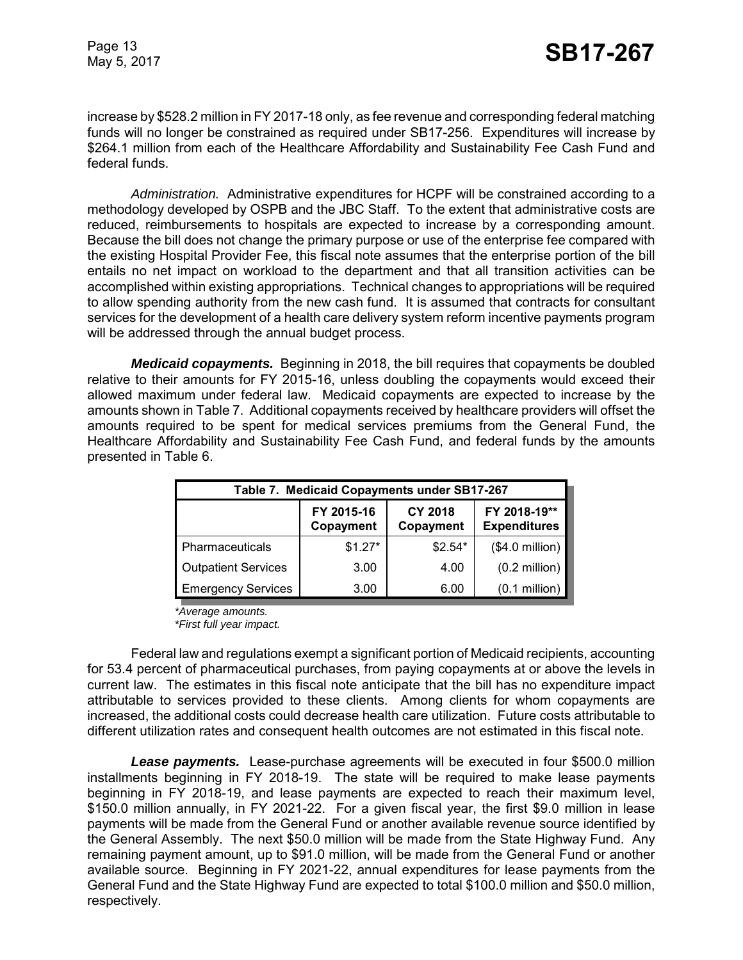increase by \$528.2 million in FY 2017-18 only, as fee revenue and corresponding federal matching funds will no longer be constrained as required under SB17-256. Expenditures will increase by \$264.1 million from each of the Healthcare Affordability and Sustainability Fee Cash Fund and federal funds.

*Administration.* Administrative expenditures for HCPF will be constrained according to a methodology developed by OSPB and the JBC Staff. To the extent that administrative costs are reduced, reimbursements to hospitals are expected to increase by a corresponding amount. Because the bill does not change the primary purpose or use of the enterprise fee compared with the existing Hospital Provider Fee, this fiscal note assumes that the enterprise portion of the bill entails no net impact on workload to the department and that all transition activities can be accomplished within existing appropriations. Technical changes to appropriations will be required to allow spending authority from the new cash fund. It is assumed that contracts for consultant services for the development of a health care delivery system reform incentive payments program will be addressed through the annual budget process.

*Medicaid copayments.* Beginning in 2018, the bill requires that copayments be doubled relative to their amounts for FY 2015-16, unless doubling the copayments would exceed their allowed maximum under federal law. Medicaid copayments are expected to increase by the amounts shown in Table 7. Additional copayments received by healthcare providers will offset the amounts required to be spent for medical services premiums from the General Fund, the Healthcare Affordability and Sustainability Fee Cash Fund, and federal funds by the amounts presented in Table 6.

| Table 7. Medicaid Copayments under SB17-267 |                                                                                               |          |                         |  |  |  |
|---------------------------------------------|-----------------------------------------------------------------------------------------------|----------|-------------------------|--|--|--|
|                                             | FY 2018-19**<br>FY 2015-16<br><b>CY 2018</b><br><b>Expenditures</b><br>Copayment<br>Copayment |          |                         |  |  |  |
| Pharmaceuticals                             | $$1.27*$                                                                                      | $$2.54*$ | $($4.0$ million)        |  |  |  |
| <b>Outpatient Services</b>                  | 3.00                                                                                          | 4.00     | $(0.2 \text{ million})$ |  |  |  |
| <b>Emergency Services</b>                   | 3.00                                                                                          | 6.00     | $(0.1$ million)         |  |  |  |

*\*Average amounts. \*First full year impact.*

Federal law and regulations exempt a significant portion of Medicaid recipients, accounting for 53.4 percent of pharmaceutical purchases, from paying copayments at or above the levels in current law. The estimates in this fiscal note anticipate that the bill has no expenditure impact attributable to services provided to these clients. Among clients for whom copayments are increased, the additional costs could decrease health care utilization. Future costs attributable to different utilization rates and consequent health outcomes are not estimated in this fiscal note.

*Lease payments.* Lease-purchase agreements will be executed in four \$500.0 million installments beginning in FY 2018-19. The state will be required to make lease payments beginning in FY 2018-19, and lease payments are expected to reach their maximum level, \$150.0 million annually, in FY 2021-22. For a given fiscal year, the first \$9.0 million in lease payments will be made from the General Fund or another available revenue source identified by the General Assembly. The next \$50.0 million will be made from the State Highway Fund. Any remaining payment amount, up to \$91.0 million, will be made from the General Fund or another available source. Beginning in FY 2021-22, annual expenditures for lease payments from the General Fund and the State Highway Fund are expected to total \$100.0 million and \$50.0 million, respectively.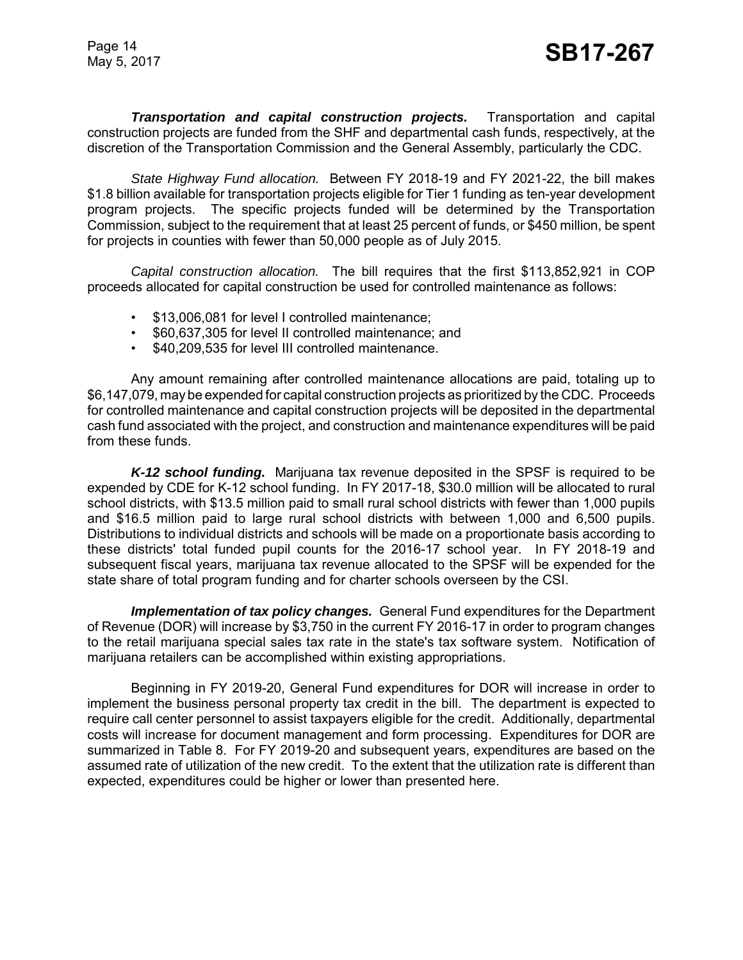*Transportation and capital construction projects.* Transportation and capital construction projects are funded from the SHF and departmental cash funds, respectively, at the discretion of the Transportation Commission and the General Assembly, particularly the CDC.

*State Highway Fund allocation.* Between FY 2018-19 and FY 2021-22, the bill makes \$1.8 billion available for transportation projects eligible for Tier 1 funding as ten-year development program projects. The specific projects funded will be determined by the Transportation Commission, subject to the requirement that at least 25 percent of funds, or \$450 million, be spent for projects in counties with fewer than 50,000 people as of July 2015.

*Capital construction allocation.* The bill requires that the first \$113,852,921 in COP proceeds allocated for capital construction be used for controlled maintenance as follows:

- \$13,006,081 for level I controlled maintenance;
- \$60,637,305 for level II controlled maintenance; and
- \$40,209,535 for level III controlled maintenance.

Any amount remaining after controlled maintenance allocations are paid, totaling up to \$6,147,079, may be expended for capital construction projects as prioritized by the CDC. Proceeds for controlled maintenance and capital construction projects will be deposited in the departmental cash fund associated with the project, and construction and maintenance expenditures will be paid from these funds.

*K-12 school funding.* Marijuana tax revenue deposited in the SPSF is required to be expended by CDE for K-12 school funding. In FY 2017-18, \$30.0 million will be allocated to rural school districts, with \$13.5 million paid to small rural school districts with fewer than 1,000 pupils and \$16.5 million paid to large rural school districts with between 1,000 and 6,500 pupils. Distributions to individual districts and schools will be made on a proportionate basis according to these districts' total funded pupil counts for the 2016-17 school year. In FY 2018-19 and subsequent fiscal years, marijuana tax revenue allocated to the SPSF will be expended for the state share of total program funding and for charter schools overseen by the CSI.

*Implementation of tax policy changes.* General Fund expenditures for the Department of Revenue (DOR) will increase by \$3,750 in the current FY 2016-17 in order to program changes to the retail marijuana special sales tax rate in the state's tax software system. Notification of marijuana retailers can be accomplished within existing appropriations.

Beginning in FY 2019-20, General Fund expenditures for DOR will increase in order to implement the business personal property tax credit in the bill. The department is expected to require call center personnel to assist taxpayers eligible for the credit. Additionally, departmental costs will increase for document management and form processing. Expenditures for DOR are summarized in Table 8. For FY 2019-20 and subsequent years, expenditures are based on the assumed rate of utilization of the new credit. To the extent that the utilization rate is different than expected, expenditures could be higher or lower than presented here.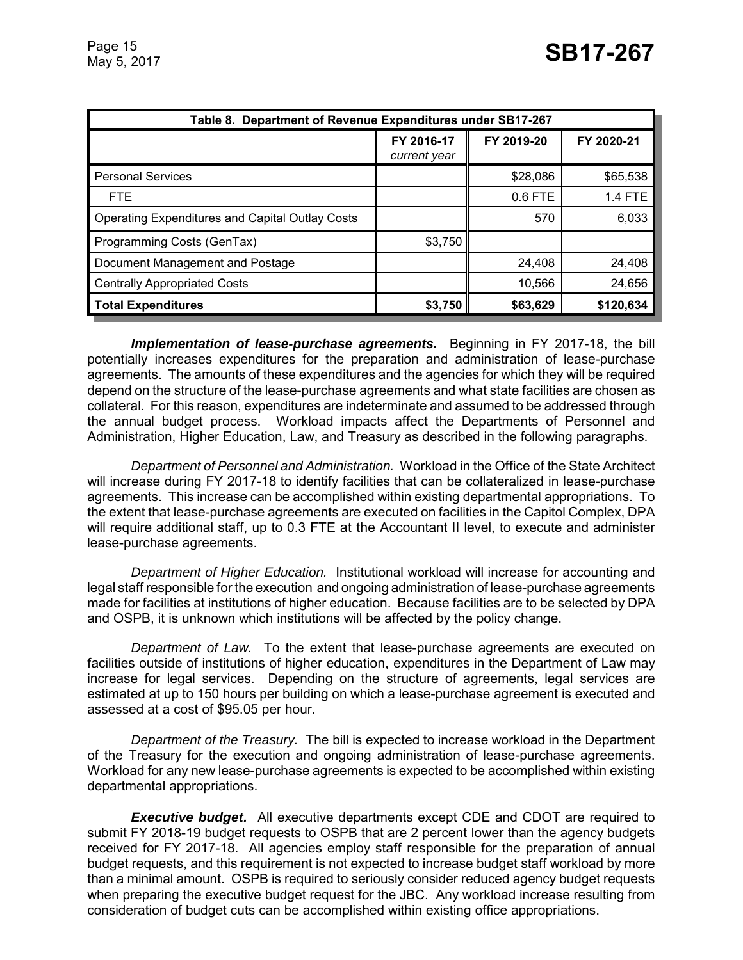| Table 8. Department of Revenue Expenditures under SB17-267 |                            |            |                |  |
|------------------------------------------------------------|----------------------------|------------|----------------|--|
|                                                            | FY 2016-17<br>current year | FY 2019-20 | FY 2020-21     |  |
| <b>Personal Services</b>                                   |                            | \$28,086   | \$65,538       |  |
| <b>FTE</b>                                                 |                            | 0.6 FTE    | <b>1.4 FTE</b> |  |
| <b>Operating Expenditures and Capital Outlay Costs</b>     |                            | 570        | 6,033          |  |
| Programming Costs (GenTax)                                 | \$3,750                    |            |                |  |
| Document Management and Postage                            |                            | 24,408     | 24,408         |  |
| <b>Centrally Appropriated Costs</b>                        |                            | 10,566     | 24,656         |  |
| <b>Total Expenditures</b>                                  | \$3,750                    | \$63,629   | \$120,634      |  |

*Implementation of lease-purchase agreements.* Beginning in FY 2017-18, the bill potentially increases expenditures for the preparation and administration of lease-purchase agreements. The amounts of these expenditures and the agencies for which they will be required depend on the structure of the lease-purchase agreements and what state facilities are chosen as collateral. For this reason, expenditures are indeterminate and assumed to be addressed through the annual budget process. Workload impacts affect the Departments of Personnel and Administration, Higher Education, Law, and Treasury as described in the following paragraphs.

*Department of Personnel and Administration.* Workload in the Office of the State Architect will increase during FY 2017-18 to identify facilities that can be collateralized in lease-purchase agreements. This increase can be accomplished within existing departmental appropriations. To the extent that lease-purchase agreements are executed on facilities in the Capitol Complex, DPA will require additional staff, up to 0.3 FTE at the Accountant II level, to execute and administer lease-purchase agreements.

*Department of Higher Education.* Institutional workload will increase for accounting and legal staff responsible for the execution and ongoing administration of lease-purchase agreements made for facilities at institutions of higher education. Because facilities are to be selected by DPA and OSPB, it is unknown which institutions will be affected by the policy change.

*Department of Law.* To the extent that lease-purchase agreements are executed on facilities outside of institutions of higher education, expenditures in the Department of Law may increase for legal services. Depending on the structure of agreements, legal services are estimated at up to 150 hours per building on which a lease-purchase agreement is executed and assessed at a cost of \$95.05 per hour.

*Department of the Treasury.* The bill is expected to increase workload in the Department of the Treasury for the execution and ongoing administration of lease-purchase agreements. Workload for any new lease-purchase agreements is expected to be accomplished within existing departmental appropriations.

*Executive budget.* All executive departments except CDE and CDOT are required to submit FY 2018-19 budget requests to OSPB that are 2 percent lower than the agency budgets received for FY 2017-18. All agencies employ staff responsible for the preparation of annual budget requests, and this requirement is not expected to increase budget staff workload by more than a minimal amount. OSPB is required to seriously consider reduced agency budget requests when preparing the executive budget request for the JBC. Any workload increase resulting from consideration of budget cuts can be accomplished within existing office appropriations.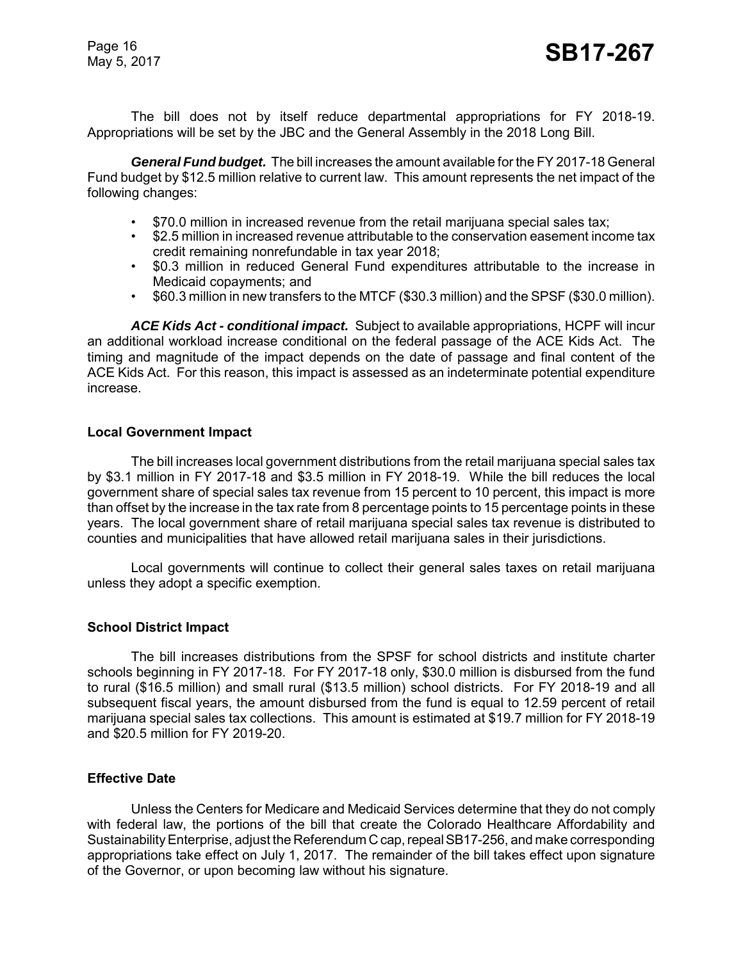The bill does not by itself reduce departmental appropriations for FY 2018-19. Appropriations will be set by the JBC and the General Assembly in the 2018 Long Bill.

*General Fund budget.* The bill increases the amount available for the FY 2017-18 General Fund budget by \$12.5 million relative to current law. This amount represents the net impact of the following changes:

- \$70.0 million in increased revenue from the retail marijuana special sales tax;
- \$2.5 million in increased revenue attributable to the conservation easement income tax credit remaining nonrefundable in tax year 2018;
- \$0.3 million in reduced General Fund expenditures attributable to the increase in Medicaid copayments; and
- \$60.3 million in new transfers to the MTCF (\$30.3 million) and the SPSF (\$30.0 million).

*ACE Kids Act - conditional impact.* Subject to available appropriations, HCPF will incur an additional workload increase conditional on the federal passage of the ACE Kids Act. The timing and magnitude of the impact depends on the date of passage and final content of the ACE Kids Act. For this reason, this impact is assessed as an indeterminate potential expenditure increase.

#### **Local Government Impact**

The bill increases local government distributions from the retail marijuana special sales tax by \$3.1 million in FY 2017-18 and \$3.5 million in FY 2018-19. While the bill reduces the local government share of special sales tax revenue from 15 percent to 10 percent, this impact is more than offset by the increase in the tax rate from 8 percentage points to 15 percentage points in these years. The local government share of retail marijuana special sales tax revenue is distributed to counties and municipalities that have allowed retail marijuana sales in their jurisdictions.

Local governments will continue to collect their general sales taxes on retail marijuana unless they adopt a specific exemption.

#### **School District Impact**

The bill increases distributions from the SPSF for school districts and institute charter schools beginning in FY 2017-18. For FY 2017-18 only, \$30.0 million is disbursed from the fund to rural (\$16.5 million) and small rural (\$13.5 million) school districts. For FY 2018-19 and all subsequent fiscal years, the amount disbursed from the fund is equal to 12.59 percent of retail marijuana special sales tax collections. This amount is estimated at \$19.7 million for FY 2018-19 and \$20.5 million for FY 2019-20.

#### **Effective Date**

Unless the Centers for Medicare and Medicaid Services determine that they do not comply with federal law, the portions of the bill that create the Colorado Healthcare Affordability and Sustainability Enterprise, adjust the Referendum C cap, repeal SB17-256, and make corresponding appropriations take effect on July 1, 2017. The remainder of the bill takes effect upon signature of the Governor, or upon becoming law without his signature.